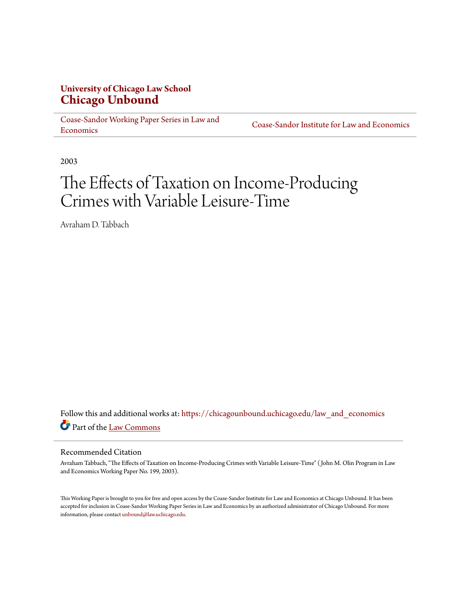# **University of Chicago Law School [Chicago Unbound](https://chicagounbound.uchicago.edu?utm_source=chicagounbound.uchicago.edu%2Flaw_and_economics%2F517&utm_medium=PDF&utm_campaign=PDFCoverPages)**

[Coase-Sandor Working Paper Series in Law and](https://chicagounbound.uchicago.edu/law_and_economics?utm_source=chicagounbound.uchicago.edu%2Flaw_and_economics%2F517&utm_medium=PDF&utm_campaign=PDFCoverPages) [Economics](https://chicagounbound.uchicago.edu/law_and_economics?utm_source=chicagounbound.uchicago.edu%2Flaw_and_economics%2F517&utm_medium=PDF&utm_campaign=PDFCoverPages)

[Coase-Sandor Institute for Law and Economics](https://chicagounbound.uchicago.edu/coase_sandor_institute?utm_source=chicagounbound.uchicago.edu%2Flaw_and_economics%2F517&utm_medium=PDF&utm_campaign=PDFCoverPages)

2003

# The Effects of Taxation on Income-Producing Crimes with Variable Leisure-Time

Avraham D. Tabbach

Follow this and additional works at: [https://chicagounbound.uchicago.edu/law\\_and\\_economics](https://chicagounbound.uchicago.edu/law_and_economics?utm_source=chicagounbound.uchicago.edu%2Flaw_and_economics%2F517&utm_medium=PDF&utm_campaign=PDFCoverPages) Part of the [Law Commons](http://network.bepress.com/hgg/discipline/578?utm_source=chicagounbound.uchicago.edu%2Flaw_and_economics%2F517&utm_medium=PDF&utm_campaign=PDFCoverPages)

#### Recommended Citation

Avraham Tabbach, "The Effects of Taxation on Income-Producing Crimes with Variable Leisure-Time" ( John M. Olin Program in Law and Economics Working Paper No. 199, 2003).

This Working Paper is brought to you for free and open access by the Coase-Sandor Institute for Law and Economics at Chicago Unbound. It has been accepted for inclusion in Coase-Sandor Working Paper Series in Law and Economics by an authorized administrator of Chicago Unbound. For more information, please contact [unbound@law.uchicago.edu.](mailto:unbound@law.uchicago.edu)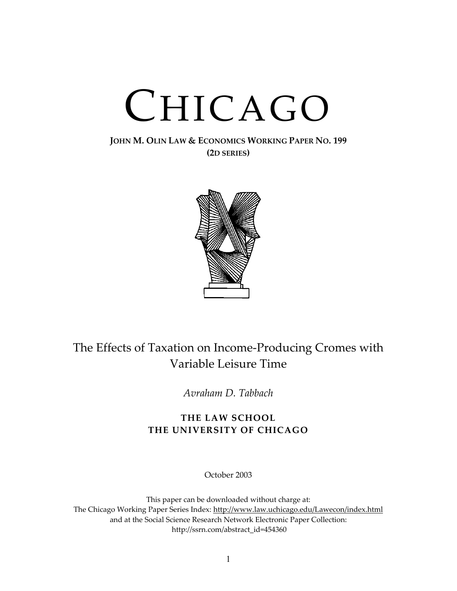# CHICAGO

### **JOHN M. OLIN LAW & ECONOMICS WORKING PAPER NO. 199 (2D SERIES)**



# The Effects of Taxation on Income-Producing Cromes with Variable Leisure Time

*Avraham D. Tabbach*

# **THE LAW SCHOOL THE UNIVERSITY OF CHICAGO**

October 2003

This paper can be downloaded without charge at: The Chicago Working Paper Series Index: [http://www.law.uchicago.edu/Lawecon/index.html](http://www.law.uchicago.edu/Publications/Working/index.html) and at the Social Science Research Network Electronic Paper Collection: [http://ssrn.com/abstract\\_id=454360](http://papers.ssrn.com/sol3/search.taf)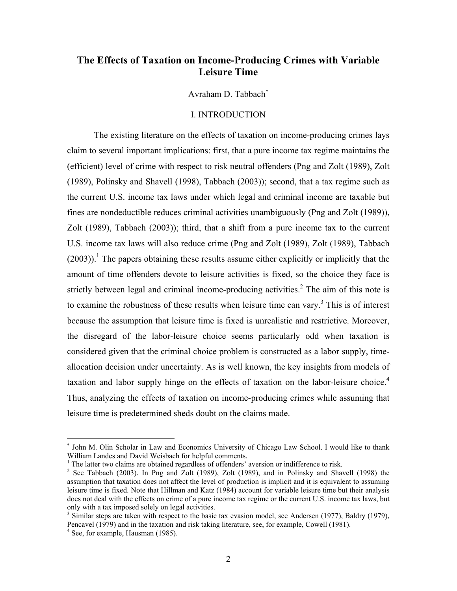# **The Effects of Taxation on Income-Producing Crimes with Variable Leisure Time**

Avraham D. Tabbach[∗](#page-2-0)

#### I. INTRODUCTION

The existing literature on the effects of taxation on income-producing crimes lays claim to several important implications: first, that a pure income tax regime maintains the (efficient) level of crime with respect to risk neutral offenders (Png and Zolt (1989), Zolt (1989), Polinsky and Shavell (1998), Tabbach (2003)); second, that a tax regime such as the current U.S. income tax laws under which legal and criminal income are taxable but fines are nondeductible reduces criminal activities unambiguously (Png and Zolt (1989)), Zolt (1989), Tabbach (2003)); third, that a shift from a pure income tax to the current U.S. income tax laws will also reduce crime (Png and Zolt (1989), Zolt (1989), Tabbach  $(2003)$ .<sup>1</sup> The papers obtaining these results assume either explicitly or implicitly that the amount of time offenders devote to leisure activities is fixed, so the choice they face is strictly between legal and criminal income-producing activities.<sup>2</sup> The aim of this note is to examine the robustness of these results when leisure time can vary.<sup>[3](#page-2-3)</sup> This is of interest because the assumption that leisure time is fixed is unrealistic and restrictive. Moreover, the disregard of the labor-leisure choice seems particularly odd when taxation is considered given that the criminal choice problem is constructed as a labor supply, timeallocation decision under uncertainty. As is well known, the key insights from models of taxation and labor supply hinge on the effects of taxation on the labor-leisure choice.<sup>[4](#page-2-4)</sup> Thus, analyzing the effects of taxation on income-producing crimes while assuming that leisure time is predetermined sheds doubt on the claims made.

1

<span id="page-2-0"></span><sup>∗</sup> John M. Olin Scholar in Law and Economics University of Chicago Law School. I would like to thank William Landes and David Weisbach for helpful comments.

<span id="page-2-1"></span><sup>&</sup>lt;sup>1</sup> The latter two claims are obtained regardless of offenders' aversion or indifference to risk.

<span id="page-2-2"></span><sup>&</sup>lt;sup>2</sup> See Tabbach (2003). In Png and Zolt (1989), Zolt (1989), and in Polinsky and Shavell (1998) the assumption that taxation does not affect the level of production is implicit and it is equivalent to assuming leisure time is fixed. Note that Hillman and Katz (1984) account for variable leisure time but their analysis does not deal with the effects on crime of a pure income tax regime or the current U.S. income tax laws, but only with a tax imposed solely on legal activities. 3

<span id="page-2-3"></span> $3$  Similar steps are taken with respect to the basic tax evasion model, see Andersen (1977), Baldry (1979), Pencavel (1979) and in the taxation and risk taking literature, see, for example, Cowell (1981).

<span id="page-2-4"></span> $4$  See, for example, Hausman (1985).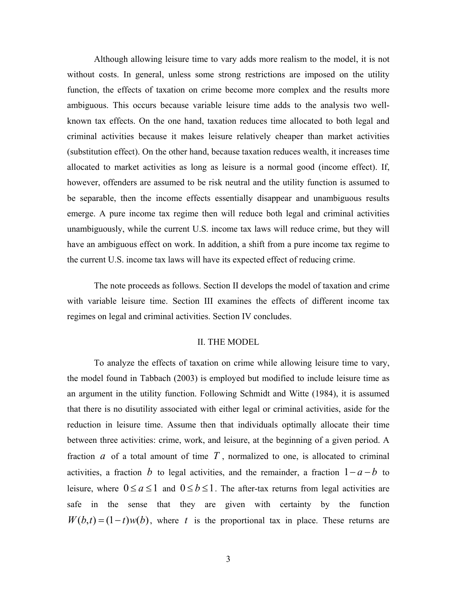Although allowing leisure time to vary adds more realism to the model, it is not without costs. In general, unless some strong restrictions are imposed on the utility function, the effects of taxation on crime become more complex and the results more ambiguous. This occurs because variable leisure time adds to the analysis two wellknown tax effects. On the one hand, taxation reduces time allocated to both legal and criminal activities because it makes leisure relatively cheaper than market activities (substitution effect). On the other hand, because taxation reduces wealth, it increases time allocated to market activities as long as leisure is a normal good (income effect). If, however, offenders are assumed to be risk neutral and the utility function is assumed to be separable, then the income effects essentially disappear and unambiguous results emerge. A pure income tax regime then will reduce both legal and criminal activities unambiguously, while the current U.S. income tax laws will reduce crime, but they will have an ambiguous effect on work. In addition, a shift from a pure income tax regime to the current U.S. income tax laws will have its expected effect of reducing crime.

The note proceeds as follows. Section II develops the model of taxation and crime with variable leisure time. Section III examines the effects of different income tax regimes on legal and criminal activities. Section IV concludes.

#### II. THE MODEL

To analyze the effects of taxation on crime while allowing leisure time to vary, the model found in Tabbach (2003) is employed but modified to include leisure time as an argument in the utility function. Following Schmidt and Witte (1984), it is assumed that there is no disutility associated with either legal or criminal activities, aside for the reduction in leisure time. Assume then that individuals optimally allocate their time between three activities: crime, work, and leisure, at the beginning of a given period. A fraction  $a$  of a total amount of time  $T$ , normalized to one, is allocated to criminal activities, a fraction b to legal activities, and the remainder, a fraction  $1 - a - b$  to leisure, where  $0 \le a \le 1$  and  $0 \le b \le 1$ . The after-tax returns from legal activities are safe in the sense that they are given with certainty by the function  $W(b,t) = (1-t)w(b)$ , where *t* is the proportional tax in place. These returns are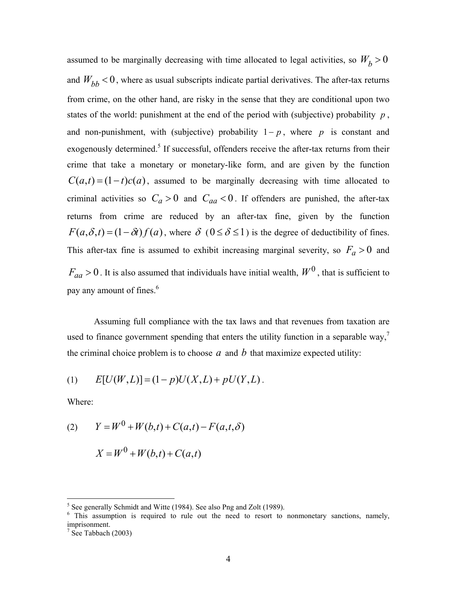assumed to be marginally decreasing with time allocated to legal activities, so  $W_b > 0$ and  $W_{bb}$  < 0, where as usual subscripts indicate partial derivatives. The after-tax returns from crime, on the other hand, are risky in the sense that they are conditional upon two states of the world: punishment at the end of the period with (subjective) probability  $p$ , and non-punishment, with (subjective) probability  $1-p$ , where *p* is constant and exogenously determined.<sup>[5](#page-4-0)</sup> If successful, offenders receive the after-tax returns from their crime that take a monetary or monetary-like form, and are given by the function  $C(a,t) = (1-t)c(a)$ , assumed to be marginally decreasing with time allocated to criminal activities so  $C_a > 0$  and  $C_{aa} < 0$ . If offenders are punished, the after-tax returns from crime are reduced by an after-tax fine, given by the function  $F(a, \delta, t) = (1 - \delta t) f(a)$ , where  $\delta$  (0 ≤  $\delta$  ≤ 1) is the degree of deductibility of fines. This after-tax fine is assumed to exhibit increasing marginal severity, so  $F_a > 0$  and  $F_{aa} > 0$ . It is also assumed that individuals have initial wealth,  $W^0$ , that is sufficient to payany amount of fines.<sup>6</sup>

the criminal choice problem is to choose  $a$  and  $b$  that maximize expected utility: Assuming full compliance with the tax laws and that revenues from taxation are used to finance government spending that enters the utility function in a separable way,<sup>7</sup>

(1) 
$$
E[U(W, L)] = (1 - p)U(X, L) + pU(Y, L).
$$

Where:

(2) 
$$
Y = W^{0} + W(b,t) + C(a,t) - F(a,t,\delta)
$$

$$
X = W0 + W(b,t) + C(a,t)
$$

<span id="page-4-1"></span><span id="page-4-0"></span>

<sup>&</sup>lt;sup>5</sup> See generally Schmidt and Witte (1984). See also Png and Zolt (1989).<br><sup>6</sup> This assumption is required to rule out the need to resort to nonmonetary sanctions, namely, imprisonment.

<span id="page-4-2"></span> $\frac{7}{1}$  See Tabbach (2003)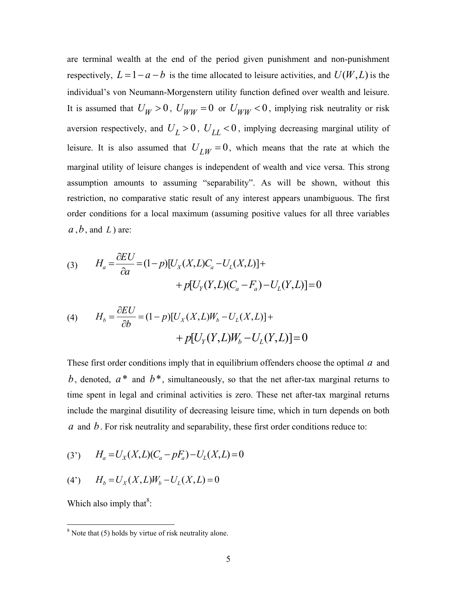are terminal wealth at the end of the period given punishment and non-punishment respectively,  $L = 1 - a - b$  is the time allocated to leisure activities, and  $U(W, L)$  is the individual's von Neumann-Morgenstern utility function defined over wealth and leisure. It is assumed that  $U_W > 0$ ,  $U_{WW} = 0$  or  $U_{WW} < 0$ , implying risk neutrality or risk aversion respectively, and  $U_L > 0$ ,  $U_{LL} < 0$ , implying decreasing marginal utility of leisure. It is also assumed that  $U_{LW} = 0$ , which means that the rate at which the marginal utility of leisure changes is independent of wealth and vice versa. This strong assumption amounts to assuming "separability". As will be shown, without this restriction, no comparative static result of any interest appears unambiguous. The first order conditions for a local maximum (assuming positive values for all three variables *a* ,*b*, and *L* ) are:

(3) 
$$
H_a = \frac{\partial EU}{\partial a} = (1 - p)[U_X(X, L)C_a - U_L(X, L)] +
$$

$$
+ p[U_Y(Y, L)(C_a - F_a) - U_L(Y, L)] = 0
$$

(4) 
$$
H_b = \frac{\partial EU}{\partial b} = (1 - p)[U_X(X, L)W_b - U_L(X, L)] +
$$

$$
+ p[U_Y(Y, L)W_b - U_L(Y, L)] = 0
$$

These first order conditions imply that in equilibrium offenders choose the optimal  $a$  and b, denoted,  $a^*$  and  $b^*$ , simultaneously, so that the net after-tax marginal returns to time spent in legal and criminal activities is zero. These net after-tax marginal returns include the marginal disutility of decreasing leisure time, which in turn depends on both  $a$  and  $b$ . For risk neutrality and separability, these first order conditions reduce to:

(3') 
$$
H_a = U_X(X, L)(C_a - pF_a) - U_L(X, L) = 0
$$

(4') 
$$
H_b = U_X(X, L)W_b - U_L(X, L) = 0
$$

Which also imply that $8$ [:](#page-5-0)

<span id="page-5-0"></span> <sup>8</sup>  $\overline{\text{N}^8}$  Note that (5) holds by virtue of risk neutrality alone.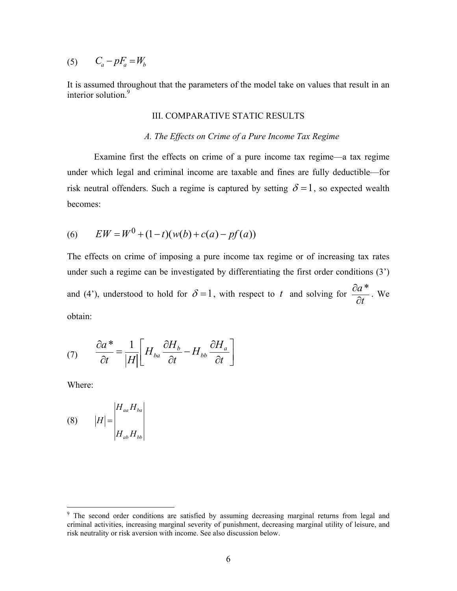$$
(5) \qquad C_a - pF_a = W_b
$$

It is assumed throughout that the parameters of the model take on values that result in an interior solution.<sup>[9](#page-6-0)</sup>

#### III. COMPARATIVE STATIC RESULTS

#### *A. The Effects on Crime of a Pure Income Tax Regime*

Examine first the effects on crime of a pure income tax regime—a tax regime under which legal and criminal income are taxable and fines are fully deductible—for risk neutral offenders. Such a regime is captured by setting  $\delta = 1$ , so expected wealth becomes:

(6) 
$$
EW = W^0 + (1-t)(w(b) + c(a) - pf(a))
$$

The effects on crime of imposing a pure income tax regime or of increasing tax rates under such a regime can be investigated by differentiating the first order conditions (3') and (4'), understood to hold for  $\delta = 1$ , with respect to *t* and solving for  $\frac{\partial a}{\partial t}$ ∂  $\frac{\partial a^*}{\partial x}$ . We obtain:

$$
(7) \qquad \frac{\partial a^*}{\partial t} = \frac{1}{|H|} \left[ H_{ba} \frac{\partial H_b}{\partial t} - H_{bb} \frac{\partial H_a}{\partial t} \right]
$$

Where:

$$
(8) \t |H| = \begin{vmatrix} H_{aa} H_{ba} \\ H_{ab} H_{bb} \end{vmatrix}
$$

<span id="page-6-0"></span><sup>&</sup>lt;sup>9</sup> The second order conditions are satisfied by assuming decreasing marginal returns from legal and criminal activities, increasing marginal severity of punishment, decreasing marginal utility of leisure, and risk neutrality or risk aversion with income. See also discussion below.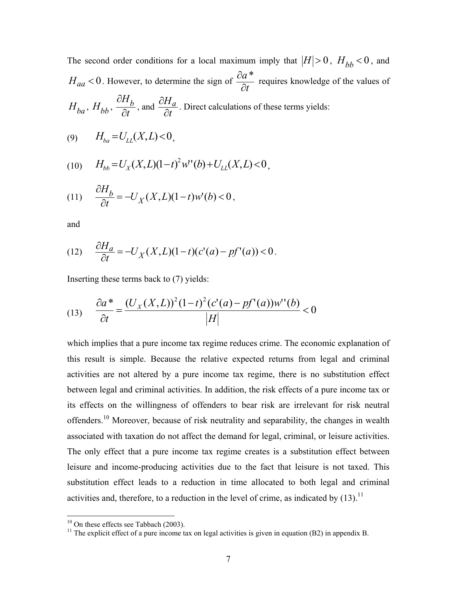The second order conditions for a local maximum imply that  $|H| > 0$ ,  $H_{bb} < 0$ , and  $H_{aa}$  < 0. However, to determine the sign of  $\frac{\partial a}{\partial t}$ ∂  $\frac{\partial a^*}{\partial x}$  requires knowledge of the values of  $H_{ba}$ ,  $H_{bb}$ ,  $\frac{\partial H}{\partial t}$ *Hb* ∂ ∂ , and  $\frac{\partial H}{\partial t}$ *Ha* ∂  $\frac{\partial H_a}{\partial x}$ . Direct calculations of these terms yields:

$$
(9) \t H_{ba} = U_{LL}(X, L) < 0,
$$

(10) 
$$
H_{bb} = U_X(X, L)(1-t)^2 w'(b) + U_{LL}(X, L) < 0,
$$

$$
(11) \qquad \frac{\partial H_b}{\partial t} = -U_X(X, L)(1-t)w'(b) < 0,
$$

and

(12) 
$$
\frac{\partial H_a}{\partial t} = -U_X(X, L)(1 - t)(c'(a) - pf'(a)) < 0.
$$

Inserting these terms back to (7) yields:

(13) 
$$
\frac{\partial a^*}{\partial t} = \frac{(U_X(X, L))^2 (1 - t)^2 (c'(a) - pf'(a)) w''(b)}{|H|} < 0
$$

which implies that a pure income tax regime reduces crime. The economic explanation of this result is simple. Because the relative expected returns from legal and criminal activities are not altered by a pure income tax regime, there is no substitution effect between legal and criminal activities. In addition, the risk effects of a pure income tax or its effects on the willingness of offenders to bear risk are irrelevant for risk neutral offenders[.10](#page-7-0) Moreover, because of risk neutrality and separability, the changes in wealth associated with taxation do not affect the demand for legal, criminal, or leisure activities. The only effect that a pure income tax regime creates is a substitution effect between leisure and income-producing activities due to the fact that leisure is not taxed. This substitution effect leads to a reduction in time allocated to both legal and criminal activities and, therefore, to a reduction in the level of crime, as indicated by  $(13)$ .<sup>11</sup>

<span id="page-7-1"></span><span id="page-7-0"></span>

<sup>&</sup>lt;sup>10</sup> On these effects see Tabbach (2003). <sup>11</sup> The explicit effect of a pure income tax on legal activities is given in equation (B2) in appendix B.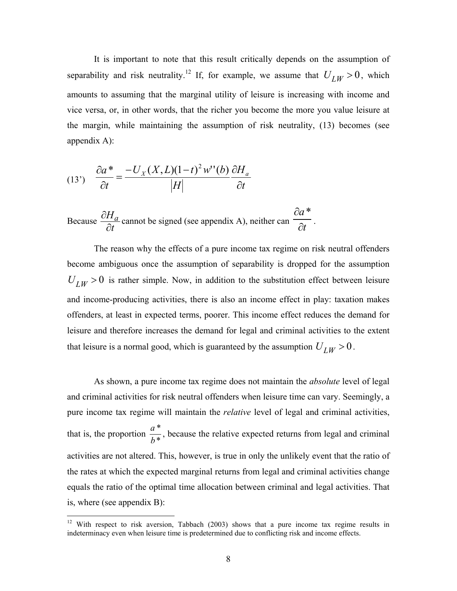It is important to note that this result critically depends on the assumption of separability and risk neutrality.<sup>12</sup> If, for example, we assume that  $U_{LW} > 0$ , which amounts to assuming that the marginal utility of leisure is increasing with income and vice versa, or, in other words, that the richer you become the more you value leisure at the margin, while maintaining the assumption of risk neutrality, (13) becomes (see appendix A):

(13') 
$$
\frac{\partial a^*}{\partial t} = \frac{-U_X(X, L)(1-t)^2 w''(b)}{|H|} \frac{\partial H_a}{\partial t}
$$
  
Because  $\frac{\partial H_a}{\partial t}$  cannot be signed (see appendix A), neither can  $\frac{\partial a^*}{\partial t}$ 

The reason why the effects of a pure income tax regime on risk neutral offenders become ambiguous once the assumption of separability is dropped for the assumption  $U_{LW} > 0$  is rather simple. Now, in addition to the substitution effect between leisure and income-producing activities, there is also an income effect in play: taxation makes offenders, at least in expected terms, poorer. This income effect reduces the demand for leisure and therefore increases the demand for legal and criminal activities to the extent that leisure is a normal good, which is guaranteed by the assumption  $U_{LW} > 0$ .

.

As shown, a pure income tax regime does not maintain the *absolute* level of legal and criminal activities for risk neutral offenders when leisure time can vary. Seemingly, a pure income tax regime will maintain the *relative* level of legal and criminal activities, that is, the proportion  $\frac{a^*}{b^*}$ *b*  $\frac{a^*}{a^*}$ , because the relative expected returns from legal and criminal activities are not altered. This, however, is true in only the unlikely event that the ratio of the rates at which the expected marginal returns from legal and criminal activities change equals the ratio of the optimal time allocation between criminal and legal activities. That is, where (see appendix B):

 $\overline{a}$ 

<span id="page-8-0"></span><sup>&</sup>lt;sup>12</sup> With respect to risk aversion, Tabbach (2003) shows that a pure income tax regime results in indeterminacy even when leisure time is predetermined due to conflicting risk and income effects.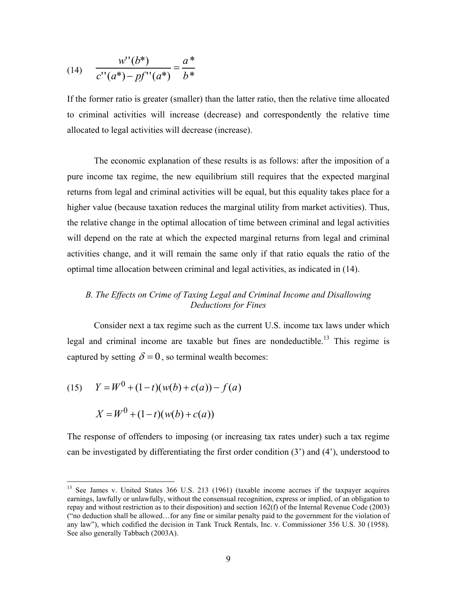(14) 
$$
\frac{w''(b^*)}{c''(a^*) - pf''(a^*)} = \frac{a^*}{b^*}
$$

If the former ratio is greater (smaller) than the latter ratio, then the relative time allocated to criminal activities will increase (decrease) and correspondently the relative time allocated to legal activities will decrease (increase).

The economic explanation of these results is as follows: after the imposition of a pure income tax regime, the new equilibrium still requires that the expected marginal returns from legal and criminal activities will be equal, but this equality takes place for a higher value (because taxation reduces the marginal utility from market activities). Thus, the relative change in the optimal allocation of time between criminal and legal activities will depend on the rate at which the expected marginal returns from legal and criminal activities change, and it will remain the same only if that ratio equals the ratio of the optimal time allocation between criminal and legal activities, as indicated in (14).

#### *B. The Effects on Crime of Taxing Legal and Criminal Income and Disallowing Deductions for Fines*

Consider next a tax regime such as the current U.S. income tax laws under which legal and criminal income are taxable but fines are nondeductible.<sup>13</sup> This regime is captured by setting  $\delta = 0$ , so terminal wealth becomes:

(15) 
$$
Y = W^{0} + (1-t)(w(b) + c(a)) - f(a)
$$

$$
X = W^{0} + (1-t)(w(b) + c(a))
$$

 $\overline{a}$ 

The response of offenders to imposing (or increasing tax rates under) such a tax regime can be investigated by differentiating the first order condition (3') and (4'), understood to

<span id="page-9-0"></span><sup>&</sup>lt;sup>13</sup> See James v. United States 366 U.S. 213 (1961) (taxable income accrues if the taxpayer acquires earnings, lawfully or unlawfully, without the consensual recognition, express or implied, of an obligation to repay and without restriction as to their disposition) and section 162(f) of the Internal Revenue Code (2003) ("no deduction shall be allowed…for any fine or similar penalty paid to the government for the violation of any law"), which codified the decision in Tank Truck Rentals, Inc. v. Commissioner 356 U.S. 30 (1958). See also generally Tabbach (2003A).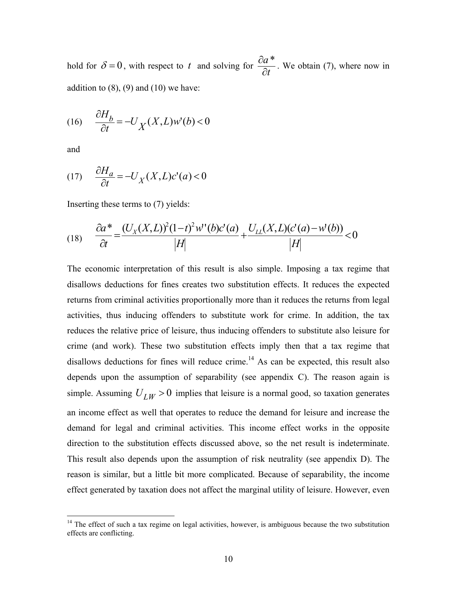hold for  $\delta = 0$ , with respect to *t* and solving for  $\frac{\partial a}{\partial t}$ ∂  $\frac{\partial a^*}{\partial x^*}$ . We obtain (7), where now in addition to  $(8)$ ,  $(9)$  and  $(10)$  we have:

$$
(16)\quad \frac{\partial H_b}{\partial t} = -U_X(X, L)w'(b) < 0
$$

and

 $\overline{a}$ 

 $\overline{A}$ 

$$
(17) \quad \frac{\partial H_a}{\partial t} = -U_X(X, L)c'(a) < 0
$$

Inserting these terms to (7) yields:

(18) 
$$
\frac{\partial a^*}{\partial t} = \frac{(U_X(X, L))^2 (1 - t)^2 w''(b) c'(a)}{|H|} + \frac{U_{LL}(X, L)(c'(a) - w'(b))}{|H|} < 0
$$

The economic interpretation of this result is also simple. Imposing a tax regime that disallows deductions for fines creates two substitution effects. It reduces the expected returns from criminal activities proportionally more than it reduces the returns from legal activities, thus inducing offenders to substitute work for crime. In addition, the tax reduces the relative price of leisure, thus inducing offenders to substitute also leisure for crime (and work). These two substitution effects imply then that a tax regime that disallows deductions for fines will reduce crime.<sup>14</sup> As can be expected, this result also depends upon the assumption of separability (see appendix C). The reason again is simple. Assuming  $U_{IW} > 0$  implies that leisure is a normal good, so taxation generates an income effect as well that operates to reduce the demand for leisure and increase the demand for legal and criminal activities. This income effect works in the opposite direction to the substitution effects discussed above, so the net result is indeterminate. This result also depends upon the assumption of risk neutrality (see appendix D). The reason is similar, but a little bit more complicated. Because of separability, the income effect generated by taxation does not affect the marginal utility of leisure. However, even

<span id="page-10-0"></span> $14$  The effect of such a tax regime on legal activities, however, is ambiguous because the two substitution effects are conflicting.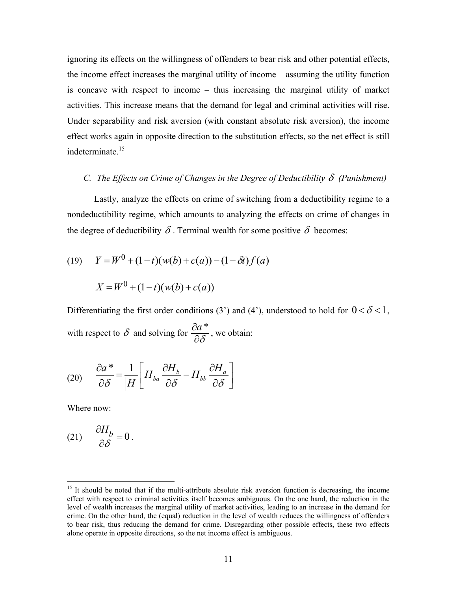ignoring its effects on the willingness of offenders to bear risk and other potential effects, the income effect increases the marginal utility of income – assuming the utility function is concave with respect to income – thus increasing the marginal utility of market activities. This increase means that the demand for legal and criminal activities will rise. Under separability and risk aversion (with constant absolute risk aversion), the income effect works again in opposite direction to the substitution effects, so the net effect is still indeterminate.<sup>15</sup>

#### *C.* The Effects on Crime of Changes in the Degree of Deductibility  $\delta$  (Punishment)

Lastly, analyze the effects on crime of switching from a deductibility regime to a nondeductibility regime, which amounts to analyzing the effects on crime of changes in the degree of deductibility  $\delta$ . Terminal wealth for some positive  $\delta$  becomes:

(19) 
$$
Y = W^{0} + (1-t)(w(b) + c(a)) - (1 - \delta t)f(a)
$$

$$
X = W^{0} + (1-t)(w(b) + c(a))
$$

Differentiating the first order conditions (3') and (4'), understood to hold for  $0 < \delta < 1$ , with respect to  $\delta$  and solving for  $\frac{\partial a}{\partial \delta}$  $\frac{\partial a^*}{\partial s^*}$ , we obtain:

$$
(20) \qquad \frac{\partial a^*}{\partial \delta} = \frac{1}{|H|} \bigg[ H_{ba} \frac{\partial H_b}{\partial \delta} - H_{bb} \frac{\partial H_a}{\partial \delta} \bigg]
$$

Where now:

 $\overline{a}$ 

$$
(21) \qquad \frac{\partial H_b}{\partial \delta} = 0 \, .
$$

<span id="page-11-0"></span><sup>&</sup>lt;sup>15</sup> It should be noted that if the multi-attribute absolute risk aversion function is decreasing, the income effect with respect to criminal activities itself becomes ambiguous. On the one hand, the reduction in the level of wealth increases the marginal utility of market activities, leading to an increase in the demand for crime. On the other hand, the (equal) reduction in the level of wealth reduces the willingness of offenders to bear risk, thus reducing the demand for crime. Disregarding other possible effects, these two effects alone operate in opposite directions, so the net income effect is ambiguous.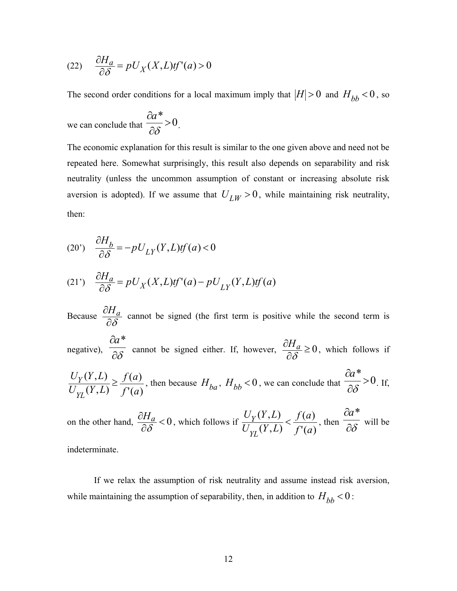(22) 
$$
\frac{\partial H_a}{\partial \delta} = pU_X(X, L)tf'(a) > 0
$$

The second order conditions for a local maximum imply that  $|H| > 0$  and  $H_{bb} < 0$ , so

we can conclude that  $\frac{ca}{2s} > 0$ \*  $>$  $\partial$  $\partial$  $rac{a^*}{\partial \delta} > 0$ .

The economic explanation for this result is similar to the one given above and need not be repeated here. Somewhat surprisingly, this result also depends on separability and risk neutrality (unless the uncommon assumption of constant or increasing absolute risk aversion is adopted). If we assume that  $U_{LW} > 0$ , while maintaining risk neutrality, then:

(20') 
$$
\frac{\partial H_b}{\partial \delta} = -pU_{LY}(Y, L)tf(a) < 0
$$

(21') 
$$
\frac{\partial H_a}{\partial \delta} = pU_X(X, L)tf'(a) - pU_{LY}(Y, L)tf(a)
$$

Because  $\frac{\partial H_{\ell}}{\partial \delta}$  $\frac{\partial H_a}{\partial s}$  cannot be signed (the first term is positive while the second term is

negative),  $\overline{\partial \delta}$ ∂*a*\* cannot be signed either. If, however,  $\frac{\partial H_a}{\partial \delta} \ge 0$  $\frac{H_a}{\partial \delta} \ge 0$ , which follows if

$$
\frac{U_Y(Y, L)}{U_{YL}(Y, L)} \ge \frac{f(a)}{f'(a)},
$$
 then because  $H_{ba}$ ,  $H_{bb} < 0$ , we can conclude that  $\frac{\partial a^*}{\partial \delta} > 0$ . If,

on the other hand,  $\frac{\partial H_a}{\partial \delta} < 0$  $\frac{H_a}{\partial \delta}$  < 0, which follows if  $\frac{U_Y(Y,L)}{U_{YI}(Y,L)} < \frac{f(a)}{f'(a)}$  $(Y, L)$  $, L)$ *f a f a Y L* ( *U*  $U_Y(Y,L)$  $\frac{\partial Y(Y, L)}{\partial Y}(Y, L) < \frac{f'(a)}{f'(a)}$ , then  $\frac{\partial Z}{\partial \delta}$ ∂*a*\* will be

indeterminate.

If we relax the assumption of risk neutrality and assume instead risk aversion, while maintaining the assumption of separability, then, in addition to  $H_{bb}$  < 0 :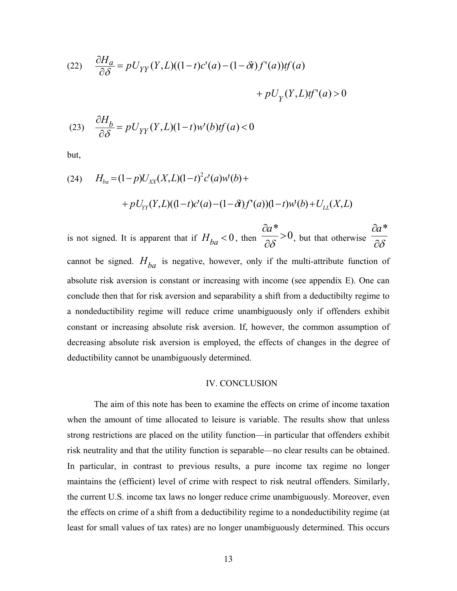(22) 
$$
\frac{\partial H_a}{\partial \delta} = pU_{YY}(Y, L)((1-t)c'(a) - (1-\delta t)f'(a))tf(a) + pU_Y(Y, L)tf'(a) > 0
$$

(23) 
$$
\frac{\partial H_b}{\partial \delta} = pU_{YY}(Y, L)(1-t)w'(b)tf(a) < 0
$$

but,

(24) 
$$
H_{ba} = (1-p)U_{XX}(X,L)(1-t)^2 c'(a)w'(b) +
$$

$$
+ pU_{YY}(Y,L)((1-t)c'(a) - (1-\delta)f'(a))(1-t)w'(b) + U_{LL}(X,L)
$$

is not signed. It is apparent that if  $H_{ba} < 0$ , then  $\frac{\partial u}{\partial \delta} > 0$ \*  $>$ ∂  $\partial$  $\delta$ *a* , but that otherwise  $\frac{\partial}{\partial \delta}$ ∂*a*\* cannot be signed.  $H_{ba}$  is negative, however, only if the multi-attribute function of absolute risk aversion is constant or increasing with income (see appendix E). One can conclude then that for risk aversion and separability a shift from a deductibilty regime to a nondeductibility regime will reduce crime unambiguously only if offenders exhibit constant or increasing absolute risk aversion. If, however, the common assumption of decreasing absolute risk aversion is employed, the effects of changes in the degree of deductibility cannot be unambiguously determined.

#### IV. CONCLUSION

The aim of this note has been to examine the effects on crime of income taxation when the amount of time allocated to leisure is variable. The results show that unless strong restrictions are placed on the utility function—in particular that offenders exhibit risk neutrality and that the utility function is separable—no clear results can be obtained. In particular, in contrast to previous results, a pure income tax regime no longer maintains the (efficient) level of crime with respect to risk neutral offenders. Similarly, the current U.S. income tax laws no longer reduce crime unambiguously. Moreover, even the effects on crime of a shift from a deductibility regime to a nondeductibility regime (at least for small values of tax rates) are no longer unambiguously determined. This occurs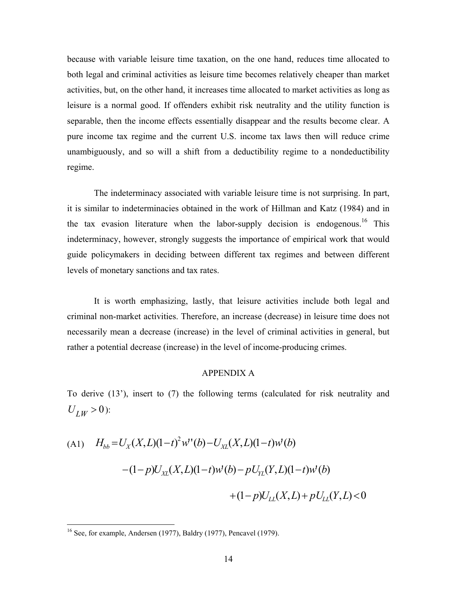because with variable leisure time taxation, on the one hand, reduces time allocated to both legal and criminal activities as leisure time becomes relatively cheaper than market activities, but, on the other hand, it increases time allocated to market activities as long as leisure is a normal good. If offenders exhibit risk neutrality and the utility function is separable, then the income effects essentially disappear and the results become clear. A pure income tax regime and the current U.S. income tax laws then will reduce crime unambiguously, and so will a shift from a deductibility regime to a nondeductibility regime.

The indeterminacy associated with variable leisure time is not surprising. In part, it is similar to indeterminacies obtained in the work of Hillman and Katz (1984) and in the tax evasion literature when the labor-supply decision is endogenous.<sup>16</sup> This indeterminacy, however, strongly suggests the importance of empirical work that would guide policymakers in deciding between different tax regimes and between different levels of monetary sanctions and tax rates.

It is worth emphasizing, lastly, that leisure activities include both legal and criminal non-market activities. Therefore, an increase (decrease) in leisure time does not necessarily mean a decrease (increase) in the level of criminal activities in general, but rather a potential decrease (increase) in the level of income-producing crimes.

#### APPENDIX A

To derive (13'), insert to (7) the following terms (calculated for risk neutrality and  $U_{IW} > 0$ :

(A1) 
$$
H_{bb} = U_X(X, L)(1-t)^2 w''(b) - U_{XL}(X, L)(1-t)w'(b)
$$
  
  $- (1-p)U_{XL}(X, L)(1-t)w'(b) - pU_{YL}(Y, L)(1-t)w'(b)$   
  $+ (1-p)U_{LL}(X, L) + pU_{LL}(Y, L) < 0$ 

 $\overline{a}$ 

<span id="page-14-0"></span> $16$  See, for example, Andersen (1977), Baldry (1977), Pencavel (1979).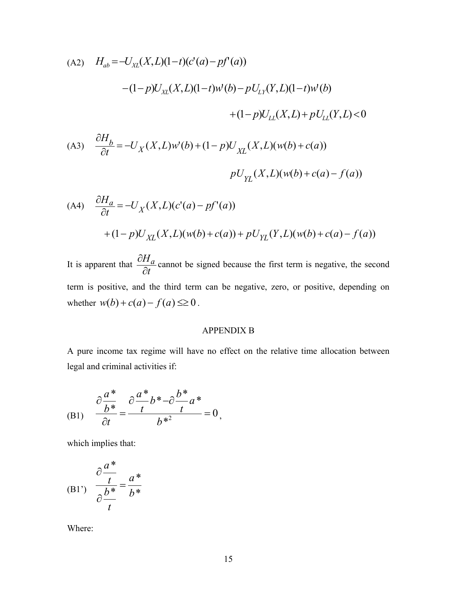(A2) 
$$
H_{ab} = -U_{XL}(X, L)(1-t)(c'(a) - pf'(a))
$$

$$
-(1-p)U_{XL}(X, L)(1-t)w'(b) - pU_{LY}(Y, L)(1-t)w'(b) + (1-p)U_{LL}(X, L) + pU_{LL}(Y, L) < 0
$$

(A3) 
$$
\frac{\partial H_b}{\partial t} = -U_X(X, L)w'(b) + (1 - p)U_{XL}(X, L)(w(b) + c(a))
$$

$$
pU_{YL}(X, L)(w(b) + c(a) - f(a))
$$

(A4) 
$$
\frac{\partial H_a}{\partial t} = -U_X(X, L)(c'(a) - pf'(a))
$$

$$
+ (1 - p)U_{XL}(X, L)(w(b) + c(a)) + pU_{YL}(Y, L)(w(b) + c(a) - f(a))
$$

It is apparent that  $\frac{\partial H}{\partial t}$ *Ha* ∂  $\frac{\partial H_a}{\partial x}$  cannot be signed because the first term is negative, the second term is positive, and the third term can be negative, zero, or positive, depending on whether  $w(b) + c(a) - f(a) \leq 0$ .

#### APPENDIX B

A pure income tax regime will have no effect on the relative time allocation between legal and criminal activities if:

(B1) 
$$
\frac{\partial \frac{a^*}{b^*}}{\partial t} = \frac{\partial \frac{a^*}{t} b^* - \partial \frac{b^*}{t} a^*}{b^{*2}} = 0,
$$

which implies that:

$$
(B1') \quad \frac{\partial \frac{a^*}{t}}{\partial \frac{b^*}{t}} = \frac{a^*}{b^*}
$$

Where: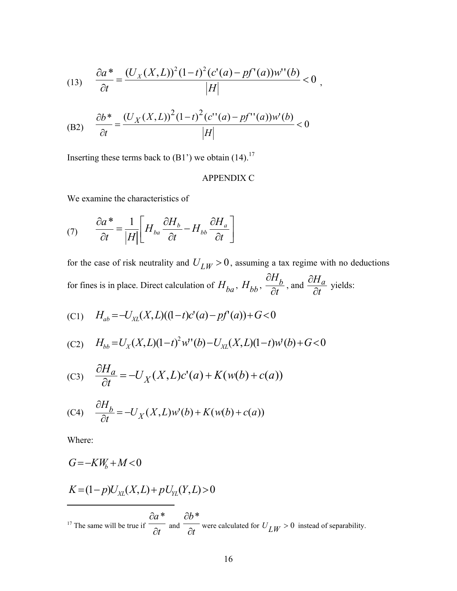(13) 
$$
\frac{\partial a^*}{\partial t} = \frac{(U_X(X,L))^2 (1-t)^2 (c'(a) - pf'(a)) w''(b)}{|H|} < 0,
$$

(B2) 
$$
\frac{\partial b^*}{\partial t} = \frac{(U_X(X, L))^2 (1 - t)^2 (c''(a) - pf''(a)) w'(b)}{|H|} < 0
$$

Inserting these terms back to  $(B1')$  we obtain  $(14).^{17}$ 

## APPENDIX C

We examine the characteristics of

$$
(7) \qquad \frac{\partial a^*}{\partial t} = \frac{1}{|H|} \bigg[ H_{ba} \frac{\partial H_b}{\partial t} - H_{bb} \frac{\partial H_a}{\partial t} \bigg]
$$

for the case of risk neutrality and  $U_{LW} > 0$ , assuming a tax regime with no deductions for fines is in place. Direct calculation of  $H_{ba}$ ,  $H_{bb}$ ,  $\frac{\partial H}{\partial t}$ *Hb* ∂  $\partial$ , and  $\frac{\partial H}{\partial t}$ *Ha* ∂  $\frac{\partial H_a}{\partial x}$  yields:

(C1) 
$$
H_{ab} = -U_{XL}(X,L)((1-t)c'(a) - pf'(a)) + G < 0
$$

(C2) 
$$
H_{bb} = U_X(X, L)(1-t)^2 w'(b) - U_{XL}(X, L)(1-t)w'(b) + G < 0
$$

(C3) 
$$
\frac{\partial H_a}{\partial t} = -U_X(X, L)c'(a) + K(w(b) + c(a))
$$

(C4) 
$$
\frac{\partial H_b}{\partial t} = -U_X(X, L)w'(b) + K(w(b) + c(a))
$$

Where:

<span id="page-16-0"></span>
$$
G = -KW_b + M < 0
$$
  
\n
$$
K = (1-p)U_{XL}(X,L) + pU_{YL}(Y,L) > 0
$$
  
\n
$$
\frac{\partial a^*}{\partial t} \text{ and } \frac{\partial b^*}{\partial t} \text{ were calculated for } U_{LW} > 0 \text{ instead of separability.}
$$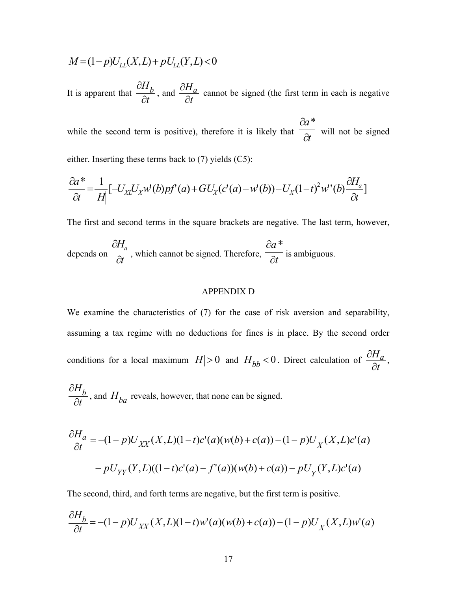$$
M = (1 - p)U_{LL}(X, L) + pU_{LL}(Y, L) < 0
$$

It is apparent that  $\frac{d}{dt}$  $H_{b}$ ∂ ∂  $t$ , and  $\frac{\partial H}{\partial t}$ *Ha* ∂  $\frac{\partial H_a}{\partial x}$  cannot be signed (the first term in each is negative

while the second term is positive), therefore it is likely that  $\frac{ }{\partial t}$ *a*  $\partial$  $\partial a^*$ will not be signed

either. Inserting these terms back to (7) yields (C5):

$$
\frac{\partial a^*}{\partial t} = \frac{1}{|H|} \left[ -U_{XL}U_x w'(b) p f'(a) + G U_x (c'(a) - w'(b)) - U_x (1-t)^2 w'(b) \frac{\partial H_a}{\partial t} \right]
$$

The first and second terms in the square brackets are negative. The last term, however,

depends on 
$$
\frac{\partial H_a}{\partial t}
$$
, which cannot be signed. Therefore,  $\frac{\partial a^*}{\partial t}$  is ambiguous.

#### APPENDIX D

We examine the characteristics of (7) for the case of risk aversion and separability, assuming a tax regime with no deductions for fines is in place. By the second order conditions for a local maximum  $|H| > 0$  and  $H_{bb} < 0$ . Direct calculation of  $\frac{H}{\partial t}$ *Ha* ∂  $\frac{\partial H_a}{\partial x}$ ,

$$
\frac{\partial H_b}{\partial t}
$$
, and  $H_{ba}$  reveals, however, that none can be signed.

$$
\frac{\partial H_a}{\partial t} = -(1-p)U_{XX}(X,L)(1-t)c'(a)(w(b) + c(a)) - (1-p)U_X(X,L)c'(a) -pU_{YY}(Y,L)((1-t)c'(a) - f'(a))(w(b) + c(a)) - pU_Y(Y,L)c'(a)
$$

The second, third, and forth terms are negative, but the first term is positive.

$$
\frac{\partial H_b}{\partial t} = -(1-p)U_{XX}(X,L)(1-t)w'(a)(w(b) + c(a)) - (1-p)U_X(X,L)w'(a)
$$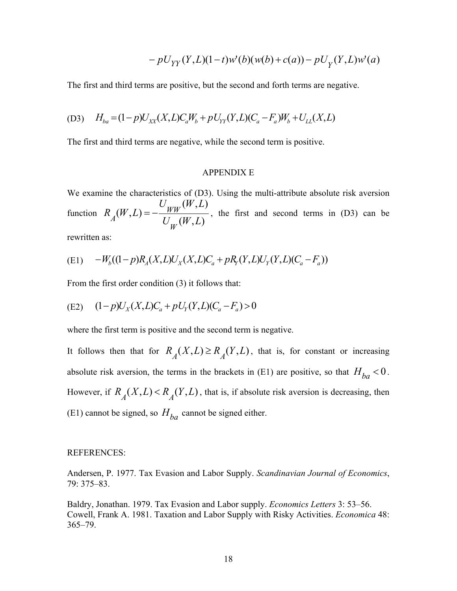$$
-pU_{YY}(Y,L)(1-t)w'(b)(w(b)+c(a))-pU_{Y}(Y,L)w'(a)
$$

The first and third terms are positive, but the second and forth terms are negative.

(D3) 
$$
H_{ba} = (1-p)U_{XX}(X,L)C_aW_b + pU_{YY}(Y,L)(C_a - F_a)W_b + U_{LL}(X,L)
$$

The first and third terms are negative, while the second term is positive.

#### APPENDIX E

We examine the characteristics of (D3). Using the multi-attribute absolute risk aversion function  $(W, L) = -\frac{U_{WW}(W, L)}{U_{W}(W, L)}$  $R_{\mu}(W,L)$ *W*  $A(W,L) = -\frac{WW^{(V+1,2)}}{U(W,L)}$ , the first and second terms in (D3) can be

rewritten as:

(E1) 
$$
-W_b((1-p)R_A(X,L)U_X(X,L)C_a + pR_Y(Y,L)U_Y(Y,L)(C_a - F_a))
$$

From the first order condition (3) it follows that:

(E2) 
$$
(1-p)U_X(X,L)C_a + pU_Y(Y,L)(C_a - F_a) > 0
$$

where the first term is positive and the second term is negative.

It follows then that for  $R_A(X,L) \ge R_A(Y,L)$ , that is, for constant or increasing absolute risk aversion, the terms in the brackets in (E1) are positive, so that  $H_{ba} < 0$ . However, if  $R_A(X, L) < R_A(Y, L)$ , that is, if absolute risk aversion is decreasing, then (E1) cannot be signed, so  $H_{ba}$  cannot be signed either.

#### REFERENCES:

Andersen, P. 1977. Tax Evasion and Labor Supply. *Scandinavian Journal of Economics*, 79: 375–83.

Baldry, Jonathan. 1979. Tax Evasion and Labor supply. *Economics Letters* 3: 53–56. Cowell, Frank A. 1981. Taxation and Labor Supply with Risky Activities. *Economica* 48: 365–79.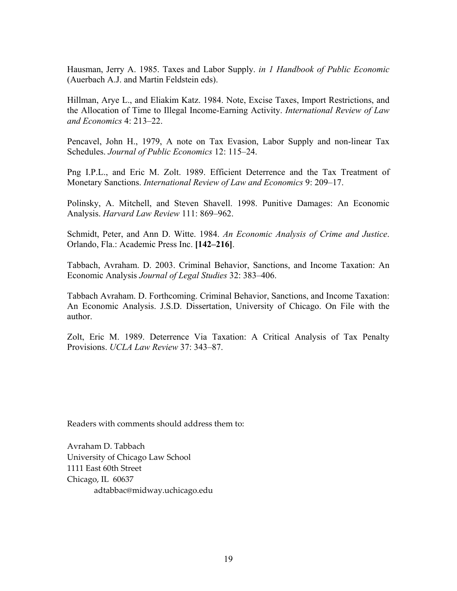Hausman, Jerry A. 1985. Taxes and Labor Supply. *in 1 Handbook of Public Economic*  (Auerbach A.J. and Martin Feldstein eds).

Hillman, Arye L., and Eliakim Katz. 1984. Note, Excise Taxes, Import Restrictions, and the Allocation of Time to Illegal Income-Earning Activity. *International Review of Law and Economics* 4: 213–22.

Pencavel, John H., 1979, A note on Tax Evasion, Labor Supply and non-linear Tax Schedules. *Journal of Public Economics* 12: 115–24.

Png I.P.L., and Eric M. Zolt. 1989. Efficient Deterrence and the Tax Treatment of Monetary Sanctions. *International Review of Law and Economics* 9: 209–17.

Polinsky, A. Mitchell, and Steven Shavell. 1998. Punitive Damages: An Economic Analysis. *Harvard Law Review* 111: 869–962.

Schmidt, Peter, and Ann D. Witte. 1984. *An Economic Analysis of Crime and Justice*. Orlando, Fla.: Academic Press Inc. **[142–216]**.

Tabbach, Avraham. D. 2003. Criminal Behavior, Sanctions, and Income Taxation: An Economic Analysis *Journal of Legal Studies* 32: 383–406.

Tabbach Avraham. D. Forthcoming. Criminal Behavior, Sanctions, and Income Taxation: An Economic Analysis. J.S.D. Dissertation, University of Chicago. On File with the author.

Zolt, Eric M. 1989. Deterrence Via Taxation: A Critical Analysis of Tax Penalty Provisions. *UCLA Law Review* 37: 343–87.

Readers with comments should address them to:

Avraham D. Tabbach University of Chicago Law School 1111 East 60th Street Chicago, IL 60637 adtabbac@midway.uchicago.edu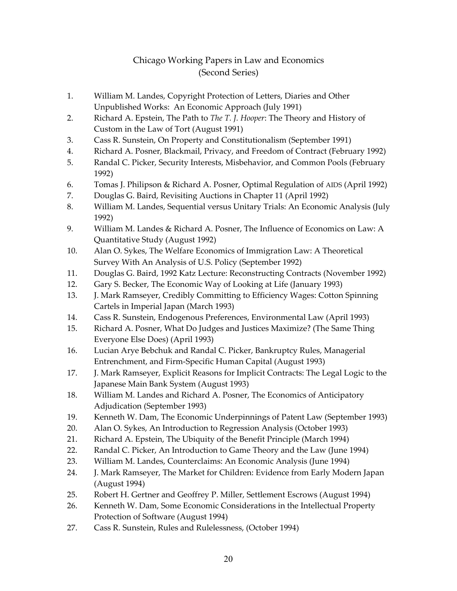# Chicago Working Papers in Law and Economics (Second Series)

- 1. William M. Landes, Copyright Protection of Letters, Diaries and Other Unpublished Works: An Economic Approach (July 1991)
- 2. Richard A. Epstein, The Path to *The T. J. Hooper*: The Theory and History of Custom in the Law of Tort (August 1991)
- 3. Cass R. Sunstein, On Property and Constitutionalism (September 1991)
- 4. Richard A. Posner, Blackmail, Privacy, and Freedom of Contract (February 1992)
- 5. Randal C. Picker, Security Interests, Misbehavior, and Common Pools (February 1992)
- 6. Tomas J. Philipson & Richard A. Posner, Optimal Regulation of AIDS (April 1992)
- 7. Douglas G. Baird, Revisiting Auctions in Chapter 11 (April 1992)
- 8. William M. Landes, Sequential versus Unitary Trials: An Economic Analysis (July 1992)
- 9. William M. Landes & Richard A. Posner, The Influence of Economics on Law: A Quantitative Study (August 1992)
- 10. Alan O. Sykes, The Welfare Economics of Immigration Law: A Theoretical Survey With An Analysis of U.S. Policy (September 1992)
- 11. Douglas G. Baird, 1992 Katz Lecture: Reconstructing Contracts (November 1992)
- 12. Gary S. Becker, The Economic Way of Looking at Life (January 1993)
- 13. J. Mark Ramseyer, Credibly Committing to Efficiency Wages: Cotton Spinning Cartels in Imperial Japan (March 1993)
- 14. Cass R. Sunstein, Endogenous Preferences, Environmental Law (April 1993)
- 15. Richard A. Posner, What Do Judges and Justices Maximize? (The Same Thing Everyone Else Does) (April 1993)
- 16. Lucian Arye Bebchuk and Randal C. Picker, Bankruptcy Rules, Managerial Entrenchment, and Firm-Specific Human Capital (August 1993)
- 17. J. Mark Ramseyer, Explicit Reasons for Implicit Contracts: The Legal Logic to the Japanese Main Bank System (August 1993)
- 18. William M. Landes and Richard A. Posner, The Economics of Anticipatory Adjudication (September 1993)
- 19. Kenneth W. Dam, The Economic Underpinnings of Patent Law (September 1993)
- 20. Alan O. Sykes, An Introduction to Regression Analysis (October 1993)
- 21. Richard A. Epstein, The Ubiquity of the Benefit Principle (March 1994)
- 22. Randal C. Picker, An Introduction to Game Theory and the Law (June 1994)
- 23. William M. Landes, Counterclaims: An Economic Analysis (June 1994)
- 24. J. Mark Ramseyer, The Market for Children: Evidence from Early Modern Japan (August 1994)
- 25. Robert H. Gertner and Geoffrey P. Miller, Settlement Escrows (August 1994)
- 26. Kenneth W. Dam, Some Economic Considerations in the Intellectual Property Protection of Software (August 1994)
- 27. Cass R. Sunstein, Rules and Rulelessness, (October 1994)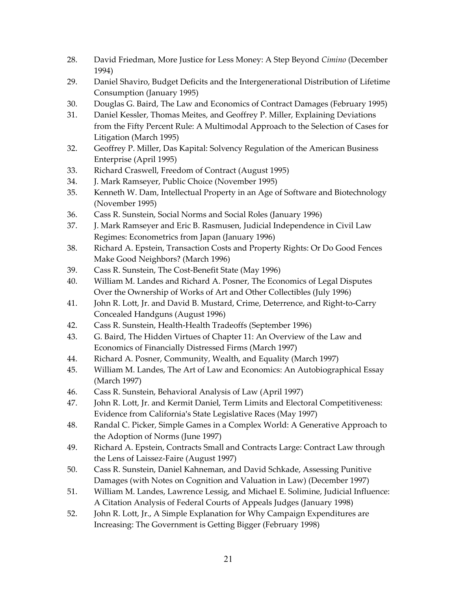- 28. David Friedman, More Justice for Less Money: A Step Beyond *Cimino* (December 1994)
- 29. Daniel Shaviro, Budget Deficits and the Intergenerational Distribution of Lifetime Consumption (January 1995)
- 30. Douglas G. Baird, The Law and Economics of Contract Damages (February 1995)
- 31. Daniel Kessler, Thomas Meites, and Geoffrey P. Miller, Explaining Deviations from the Fifty Percent Rule: A Multimodal Approach to the Selection of Cases for Litigation (March 1995)
- 32. Geoffrey P. Miller, Das Kapital: Solvency Regulation of the American Business Enterprise (April 1995)
- 33. Richard Craswell, Freedom of Contract (August 1995)
- 34. J. Mark Ramseyer, Public Choice (November 1995)
- 35. Kenneth W. Dam, Intellectual Property in an Age of Software and Biotechnology (November 1995)
- 36. Cass R. Sunstein, Social Norms and Social Roles (January 1996)
- 37. J. Mark Ramseyer and Eric B. Rasmusen, Judicial Independence in Civil Law Regimes: Econometrics from Japan (January 1996)
- 38. Richard A. Epstein, Transaction Costs and Property Rights: Or Do Good Fences Make Good Neighbors? (March 1996)
- 39. Cass R. Sunstein, The Cost-Benefit State (May 1996)
- 40. William M. Landes and Richard A. Posner, The Economics of Legal Disputes Over the Ownership of Works of Art and Other Collectibles (July 1996)
- 41. John R. Lott, Jr. and David B. Mustard, Crime, Deterrence, and Right-to-Carry Concealed Handguns (August 1996)
- 42. Cass R. Sunstein, Health-Health Tradeoffs (September 1996)
- 43. G. Baird, The Hidden Virtues of Chapter 11: An Overview of the Law and Economics of Financially Distressed Firms (March 1997)
- 44. Richard A. Posner, Community, Wealth, and Equality (March 1997)
- 45. William M. Landes, The Art of Law and Economics: An Autobiographical Essay (March 1997)
- 46. Cass R. Sunstein, Behavioral Analysis of Law (April 1997)
- 47. John R. Lott, Jr. and Kermit Daniel, Term Limits and Electoral Competitiveness: Evidence from California's State Legislative Races (May 1997)
- 48. Randal C. Picker, Simple Games in a Complex World: A Generative Approach to the Adoption of Norms (June 1997)
- 49. Richard A. Epstein, Contracts Small and Contracts Large: Contract Law through the Lens of Laissez-Faire (August 1997)
- 50. Cass R. Sunstein, Daniel Kahneman, and David Schkade, Assessing Punitive Damages (with Notes on Cognition and Valuation in Law) (December 1997)
- 51. William M. Landes, Lawrence Lessig, and Michael E. Solimine, Judicial Influence: A Citation Analysis of Federal Courts of Appeals Judges (January 1998)
- 52. John R. Lott, Jr., A Simple Explanation for Why Campaign Expenditures are Increasing: The Government is Getting Bigger (February 1998)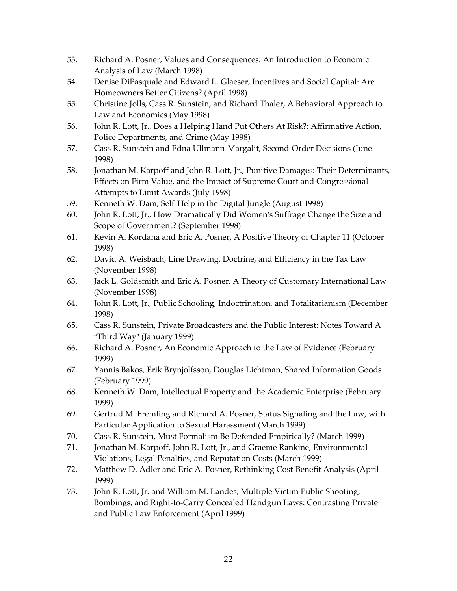- 53. Richard A. Posner, Values and Consequences: An Introduction to Economic Analysis of Law (March 1998)
- 54. Denise DiPasquale and Edward L. Glaeser, Incentives and Social Capital: Are Homeowners Better Citizens? (April 1998)
- 55. Christine Jolls, Cass R. Sunstein, and Richard Thaler, A Behavioral Approach to Law and Economics (May 1998)
- 56. John R. Lott, Jr., Does a Helping Hand Put Others At Risk?: Affirmative Action, Police Departments, and Crime (May 1998)
- 57. Cass R. Sunstein and Edna Ullmann-Margalit, Second-Order Decisions (June 1998)
- 58. Jonathan M. Karpoff and John R. Lott, Jr., Punitive Damages: Their Determinants, Effects on Firm Value, and the Impact of Supreme Court and Congressional Attempts to Limit Awards (July 1998)
- 59. Kenneth W. Dam, Self-Help in the Digital Jungle (August 1998)
- 60. John R. Lott, Jr., How Dramatically Did Women's Suffrage Change the Size and Scope of Government? (September 1998)
- 61. Kevin A. Kordana and Eric A. Posner, A Positive Theory of Chapter 11 (October 1998)
- 62. David A. Weisbach, Line Drawing, Doctrine, and Efficiency in the Tax Law (November 1998)
- 63. Jack L. Goldsmith and Eric A. Posner, A Theory of Customary International Law (November 1998)
- 64. John R. Lott, Jr., Public Schooling, Indoctrination, and Totalitarianism (December 1998)
- 65. Cass R. Sunstein, Private Broadcasters and the Public Interest: Notes Toward A "Third Way" (January 1999)
- 66. Richard A. Posner, An Economic Approach to the Law of Evidence (February 1999)
- 67. Yannis Bakos, Erik Brynjolfsson, Douglas Lichtman, Shared Information Goods (February 1999)
- 68. Kenneth W. Dam, Intellectual Property and the Academic Enterprise (February 1999)
- 69. Gertrud M. Fremling and Richard A. Posner, Status Signaling and the Law, with Particular Application to Sexual Harassment (March 1999)
- 70. Cass R. Sunstein, Must Formalism Be Defended Empirically? (March 1999)
- 71. Jonathan M. Karpoff, John R. Lott, Jr., and Graeme Rankine, Environmental Violations, Legal Penalties, and Reputation Costs (March 1999)
- 72. Matthew D. Adler and Eric A. Posner, Rethinking Cost-Benefit Analysis (April 1999)
- 73. John R. Lott, Jr. and William M. Landes, Multiple Victim Public Shooting, Bombings, and Right-to-Carry Concealed Handgun Laws: Contrasting Private and Public Law Enforcement (April 1999)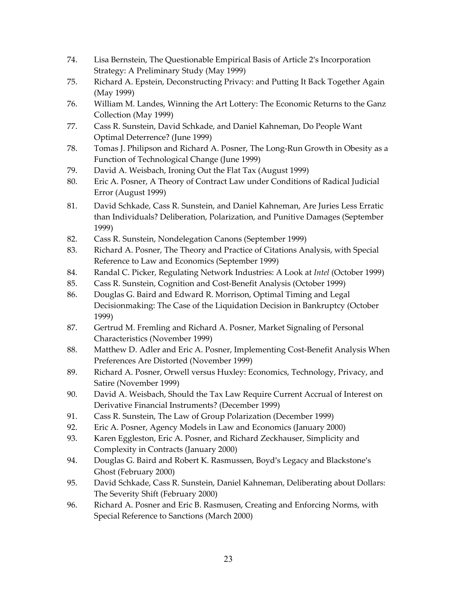- 74. Lisa Bernstein, The Questionable Empirical Basis of Article 2's Incorporation Strategy: A Preliminary Study (May 1999)
- 75. Richard A. Epstein, Deconstructing Privacy: and Putting It Back Together Again (May 1999)
- 76. William M. Landes, Winning the Art Lottery: The Economic Returns to the Ganz Collection (May 1999)
- 77. Cass R. Sunstein, David Schkade, and Daniel Kahneman, Do People Want Optimal Deterrence? (June 1999)
- 78. Tomas J. Philipson and Richard A. Posner, The Long-Run Growth in Obesity as a Function of Technological Change (June 1999)
- 79. David A. Weisbach, Ironing Out the Flat Tax (August 1999)
- 80. Eric A. Posner, A Theory of Contract Law under Conditions of Radical Judicial Error (August 1999)
- 81. David Schkade, Cass R. Sunstein, and Daniel Kahneman, Are Juries Less Erratic than Individuals? Deliberation, Polarization, and Punitive Damages (September 1999)
- 82. Cass R. Sunstein, Nondelegation Canons (September 1999)
- 83. Richard A. Posner, The Theory and Practice of Citations Analysis, with Special Reference to Law and Economics (September 1999)
- 84. Randal C. Picker, Regulating Network Industries: A Look at *Intel* (October 1999)
- 85. Cass R. Sunstein, Cognition and Cost-Benefit Analysis (October 1999)
- 86. Douglas G. Baird and Edward R. Morrison, Optimal Timing and Legal Decisionmaking: The Case of the Liquidation Decision in Bankruptcy (October 1999)
- 87. Gertrud M. Fremling and Richard A. Posner, Market Signaling of Personal Characteristics (November 1999)
- 88. Matthew D. Adler and Eric A. Posner, Implementing Cost-Benefit Analysis When Preferences Are Distorted (November 1999)
- 89. Richard A. Posner, Orwell versus Huxley: Economics, Technology, Privacy, and Satire (November 1999)
- 90. David A. Weisbach, Should the Tax Law Require Current Accrual of Interest on Derivative Financial Instruments? (December 1999)
- 91. Cass R. Sunstein, The Law of Group Polarization (December 1999)
- 92. Eric A. Posner, Agency Models in Law and Economics (January 2000)
- 93. Karen Eggleston, Eric A. Posner, and Richard Zeckhauser, Simplicity and Complexity in Contracts (January 2000)
- 94. Douglas G. Baird and Robert K. Rasmussen, Boyd's Legacy and Blackstone's Ghost (February 2000)
- 95. David Schkade, Cass R. Sunstein, Daniel Kahneman, Deliberating about Dollars: The Severity Shift (February 2000)
- 96. Richard A. Posner and Eric B. Rasmusen, Creating and Enforcing Norms, with Special Reference to Sanctions (March 2000)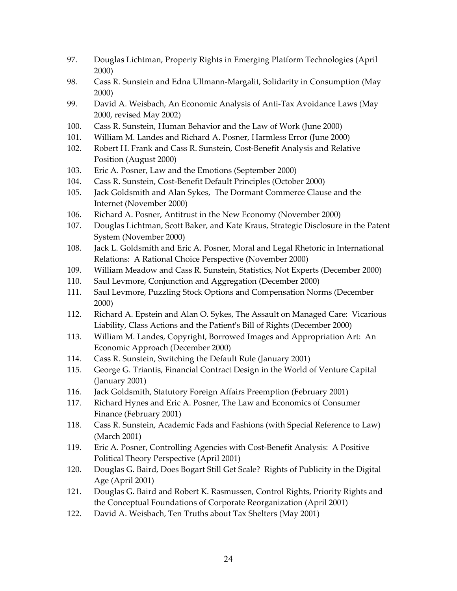- 97. Douglas Lichtman, Property Rights in Emerging Platform Technologies (April 2000)
- 98. Cass R. Sunstein and Edna Ullmann-Margalit, Solidarity in Consumption (May 2000)
- 99. David A. Weisbach, An Economic Analysis of Anti-Tax Avoidance Laws (May 2000, revised May 2002)
- 100. Cass R. Sunstein, Human Behavior and the Law of Work (June 2000)
- 101. William M. Landes and Richard A. Posner, Harmless Error (June 2000)
- 102. Robert H. Frank and Cass R. Sunstein, Cost-Benefit Analysis and Relative Position (August 2000)
- 103. Eric A. Posner, Law and the Emotions (September 2000)
- 104. Cass R. Sunstein, Cost-Benefit Default Principles (October 2000)
- 105. Jack Goldsmith and Alan Sykes, The Dormant Commerce Clause and the Internet (November 2000)
- 106. Richard A. Posner, Antitrust in the New Economy (November 2000)
- 107. Douglas Lichtman, Scott Baker, and Kate Kraus, Strategic Disclosure in the Patent System (November 2000)
- 108. Jack L. Goldsmith and Eric A. Posner, Moral and Legal Rhetoric in International Relations: A Rational Choice Perspective (November 2000)
- 109. William Meadow and Cass R. Sunstein, Statistics, Not Experts (December 2000)
- 110. Saul Levmore, Conjunction and Aggregation (December 2000)
- 111. Saul Levmore, Puzzling Stock Options and Compensation Norms (December 2000)
- 112. Richard A. Epstein and Alan O. Sykes, The Assault on Managed Care: Vicarious Liability, Class Actions and the Patient's Bill of Rights (December 2000)
- 113. William M. Landes, Copyright, Borrowed Images and Appropriation Art: An Economic Approach (December 2000)
- 114. Cass R. Sunstein, Switching the Default Rule (January 2001)
- 115. George G. Triantis, Financial Contract Design in the World of Venture Capital (January 2001)
- 116. Jack Goldsmith, Statutory Foreign Affairs Preemption (February 2001)
- 117. Richard Hynes and Eric A. Posner, The Law and Economics of Consumer Finance (February 2001)
- 118. Cass R. Sunstein, Academic Fads and Fashions (with Special Reference to Law) (March 2001)
- 119. Eric A. Posner, Controlling Agencies with Cost-Benefit Analysis: A Positive Political Theory Perspective (April 2001)
- 120. Douglas G. Baird, Does Bogart Still Get Scale? Rights of Publicity in the Digital Age (April 2001)
- 121. Douglas G. Baird and Robert K. Rasmussen, Control Rights, Priority Rights and the Conceptual Foundations of Corporate Reorganization (April 2001)
- 122. David A. Weisbach, Ten Truths about Tax Shelters (May 2001)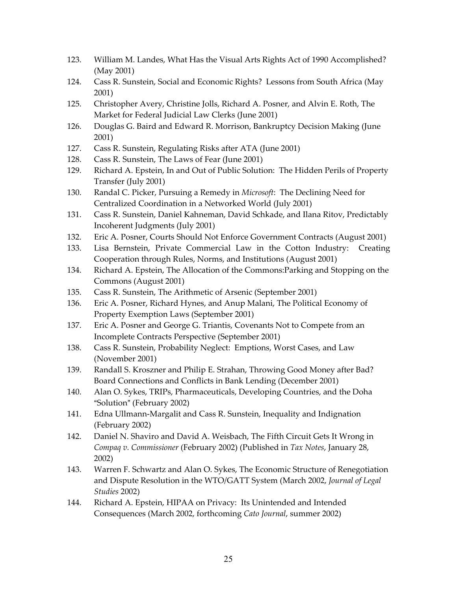- 123. William M. Landes, What Has the Visual Arts Rights Act of 1990 Accomplished? (May 2001)
- 124. Cass R. Sunstein, Social and Economic Rights? Lessons from South Africa (May 2001)
- 125. Christopher Avery, Christine Jolls, Richard A. Posner, and Alvin E. Roth, The Market for Federal Judicial Law Clerks (June 2001)
- 126. Douglas G. Baird and Edward R. Morrison, Bankruptcy Decision Making (June 2001)
- 127. Cass R. Sunstein, Regulating Risks after ATA (June 2001)
- 128. Cass R. Sunstein, The Laws of Fear (June 2001)
- 129. Richard A. Epstein, In and Out of Public Solution: The Hidden Perils of Property Transfer (July 2001)
- 130. Randal C. Picker, Pursuing a Remedy in *Microsoft*: The Declining Need for Centralized Coordination in a Networked World (July 2001)
- 131. Cass R. Sunstein, Daniel Kahneman, David Schkade, and Ilana Ritov, Predictably Incoherent Judgments (July 2001)
- 132. Eric A. Posner, Courts Should Not Enforce Government Contracts (August 2001)
- 133. Lisa Bernstein, Private Commercial Law in the Cotton Industry: Creating Cooperation through Rules, Norms, and Institutions (August 2001)
- 134. Richard A. Epstein, The Allocation of the Commons:Parking and Stopping on the Commons (August 2001)
- 135. Cass R. Sunstein, The Arithmetic of Arsenic (September 2001)
- 136. Eric A. Posner, Richard Hynes, and Anup Malani, The Political Economy of Property Exemption Laws (September 2001)
- 137. Eric A. Posner and George G. Triantis, Covenants Not to Compete from an Incomplete Contracts Perspective (September 2001)
- 138. Cass R. Sunstein, Probability Neglect: Emptions, Worst Cases, and Law (November 2001)
- 139. Randall S. Kroszner and Philip E. Strahan, Throwing Good Money after Bad? Board Connections and Conflicts in Bank Lending (December 2001)
- 140. Alan O. Sykes, TRIPs, Pharmaceuticals, Developing Countries, and the Doha "Solution" (February 2002)
- 141. Edna Ullmann-Margalit and Cass R. Sunstein, Inequality and Indignation (February 2002)
- 142. Daniel N. Shaviro and David A. Weisbach, The Fifth Circuit Gets It Wrong in *Compaq v. Commissioner* (February 2002) (Published in *Tax Notes*, January 28, 2002)
- 143. Warren F. Schwartz and Alan O. Sykes, The Economic Structure of Renegotiation and Dispute Resolution in the WTO/GATT System (March 2002, *Journal of Legal Studies* 2002)
- 144. Richard A. Epstein, HIPAA on Privacy: Its Unintended and Intended Consequences (March 2002, forthcoming *Cato Journal*, summer 2002)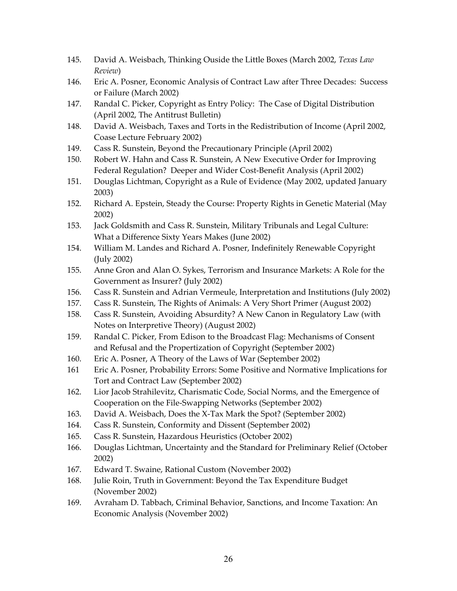- 145. David A. Weisbach, Thinking Ouside the Little Boxes (March 2002, *Texas Law Review*)
- 146. Eric A. Posner, Economic Analysis of Contract Law after Three Decades: Success or Failure (March 2002)
- 147. Randal C. Picker, Copyright as Entry Policy: The Case of Digital Distribution (April 2002, The Antitrust Bulletin)
- 148. David A. Weisbach, Taxes and Torts in the Redistribution of Income (April 2002, Coase Lecture February 2002)
- 149. Cass R. Sunstein, Beyond the Precautionary Principle (April 2002)
- 150. Robert W. Hahn and Cass R. Sunstein, A New Executive Order for Improving Federal Regulation? Deeper and Wider Cost-Benefit Analysis (April 2002)
- 151. Douglas Lichtman, Copyright as a Rule of Evidence (May 2002, updated January 2003)
- 152. Richard A. Epstein, Steady the Course: Property Rights in Genetic Material (May 2002)
- 153. Jack Goldsmith and Cass R. Sunstein, Military Tribunals and Legal Culture: What a Difference Sixty Years Makes (June 2002)
- 154. William M. Landes and Richard A. Posner, Indefinitely Renewable Copyright (July 2002)
- 155. Anne Gron and Alan O. Sykes, Terrorism and Insurance Markets: A Role for the Government as Insurer? (July 2002)
- 156. Cass R. Sunstein and Adrian Vermeule, Interpretation and Institutions (July 2002)
- 157. Cass R. Sunstein, The Rights of Animals: A Very Short Primer (August 2002)
- 158. Cass R. Sunstein, Avoiding Absurdity? A New Canon in Regulatory Law (with Notes on Interpretive Theory) (August 2002)
- 159. Randal C. Picker, From Edison to the Broadcast Flag: Mechanisms of Consent and Refusal and the Propertization of Copyright (September 2002)
- 160. Eric A. Posner, A Theory of the Laws of War (September 2002)
- 161 Eric A. Posner, Probability Errors: Some Positive and Normative Implications for Tort and Contract Law (September 2002)
- 162. Lior Jacob Strahilevitz, Charismatic Code, Social Norms, and the Emergence of Cooperation on the File-Swapping Networks (September 2002)
- 163. David A. Weisbach, Does the X-Tax Mark the Spot? (September 2002)
- 164. Cass R. Sunstein, Conformity and Dissent (September 2002)
- 165. Cass R. Sunstein, Hazardous Heuristics (October 2002)
- 166. Douglas Lichtman, Uncertainty and the Standard for Preliminary Relief (October 2002)
- 167. Edward T. Swaine, Rational Custom (November 2002)
- 168. Julie Roin, Truth in Government: Beyond the Tax Expenditure Budget (November 2002)
- 169. Avraham D. Tabbach, Criminal Behavior, Sanctions, and Income Taxation: An Economic Analysis (November 2002)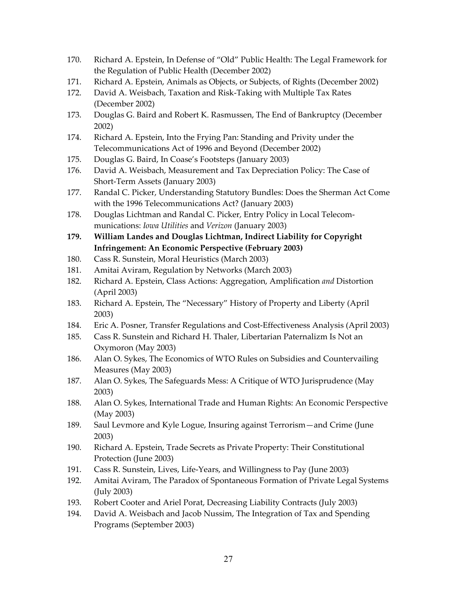- 170. Richard A. Epstein, In Defense of "Old" Public Health: The Legal Framework for the Regulation of Public Health (December 2002)
- 171. Richard A. Epstein, Animals as Objects, or Subjects, of Rights (December 2002)
- 172. David A. Weisbach, Taxation and Risk-Taking with Multiple Tax Rates (December 2002)
- 173. Douglas G. Baird and Robert K. Rasmussen, The End of Bankruptcy (December 2002)
- 174. Richard A. Epstein, Into the Frying Pan: Standing and Privity under the Telecommunications Act of 1996 and Beyond (December 2002)
- 175. Douglas G. Baird, In Coase's Footsteps (January 2003)
- 176. David A. Weisbach, Measurement and Tax Depreciation Policy: The Case of Short-Term Assets (January 2003)
- 177. Randal C. Picker, Understanding Statutory Bundles: Does the Sherman Act Come with the 1996 Telecommunications Act? (January 2003)
- 178. Douglas Lichtman and Randal C. Picker, Entry Policy in Local Telecommunications: *Iowa Utilities* and *Verizon* (January 2003)
- **179. William Landes and Douglas Lichtman, Indirect Liability for Copyright Infringement: An Economic Perspective (February 2003)**
- 180. Cass R. Sunstein, Moral Heuristics (March 2003)
- 181. Amitai Aviram, Regulation by Networks (March 2003)
- 182. Richard A. Epstein, Class Actions: Aggregation, Amplification *and* Distortion (April 2003)
- 183. Richard A. Epstein, The "Necessary" History of Property and Liberty (April 2003)
- 184. Eric A. Posner, Transfer Regulations and Cost-Effectiveness Analysis (April 2003)
- 185. Cass R. Sunstein and Richard H. Thaler, Libertarian Paternalizm Is Not an Oxymoron (May 2003)
- 186. Alan O. Sykes, The Economics of WTO Rules on Subsidies and Countervailing Measures (May 2003)
- 187. Alan O. Sykes, The Safeguards Mess: A Critique of WTO Jurisprudence (May 2003)
- 188. Alan O. Sykes, International Trade and Human Rights: An Economic Perspective (May 2003)
- 189. Saul Levmore and Kyle Logue, Insuring against Terrorism—and Crime (June 2003)
- 190. Richard A. Epstein, Trade Secrets as Private Property: Their Constitutional Protection (June 2003)
- 191. Cass R. Sunstein, Lives, Life-Years, and Willingness to Pay (June 2003)
- 192. Amitai Aviram, The Paradox of Spontaneous Formation of Private Legal Systems (July 2003)
- 193. Robert Cooter and Ariel Porat, Decreasing Liability Contracts (July 2003)
- 194. David A. Weisbach and Jacob Nussim, The Integration of Tax and Spending Programs (September 2003)